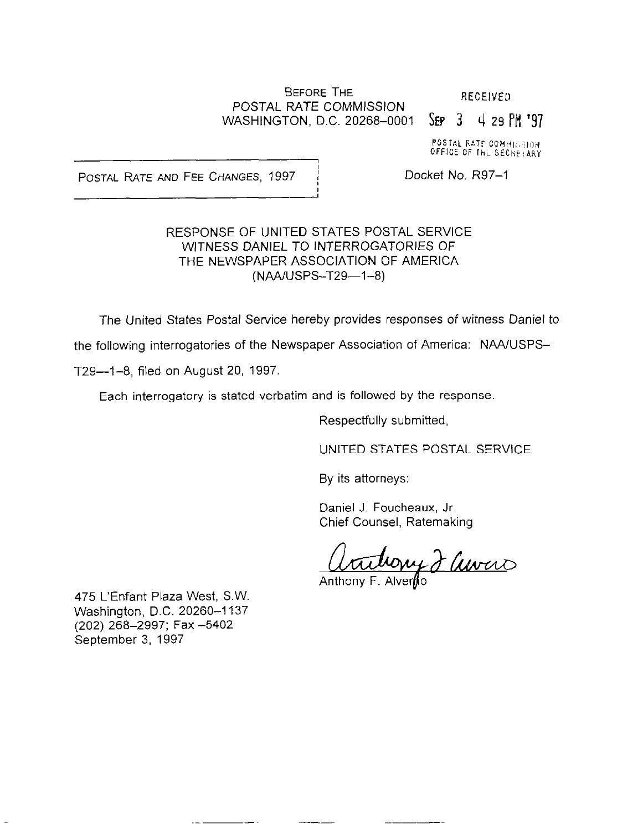#### BEFORE THE RECEIVED POSTAL RATE COMMISSION WASHINGTON, D.C. 20268-0001 SEP 3 4 29 PM '97

I

I

POSTAL RATE COMMISSION OFFICE OF THE SECRETARY

POSTAL RATE AND FEE CHANGES, 1997 | Docket No. R97-1

#### RESPONSE OF UNITED STATES POSTAL SERVICE WITNESS DANIEL TO INTERROGATORIES OF THE NEWSPAPER ASSOCIATION OF AMERICA (NAA/USPS-T29-1-8)

The United States Postal Service hereby provides responses of witness Daniel to

the following interrogatories of the Newspaper Association of America: NAA/USPS-

T29-1-8, filed on August 20, 1997.

Each interrogatory is stated verbatim and is followed by the response.

Respectfully submitted,

UNITED STATES POSTAL SERVICE

By its attorneys:

Daniel J. Foucheaux, Jr. Chief Counsel, Ratemaking

Utillowy J Current

475 L'Enfant Plaza West, S.W. Washington, D.C. 20260-1137 (202) 268-2997; Fax -5402 September 3, 1997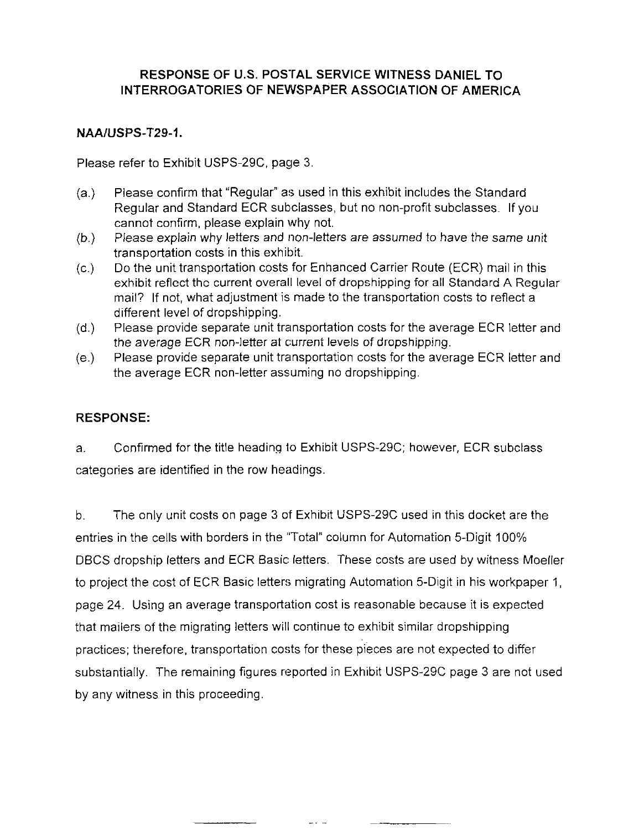## NAAIUSPS-T29-1.

Please refer to Exhibit USPS-29C, page 3.

- (a.) Please confirm that "Regular" as used in this exhibit includes the Standard Regular and Standard ECR subclasses, but no non-profit subclasses. If you cannot confirm, please explain why not.
- $(b.)$ Please explain why letters and non-letters are assumed to have the same unit transportation costs in this exhibit.
- $(c.)$ Do the unit transportation costs for Enhanced Carrier Route (ECR) mail in this exhibit reflect the current overall level of dropshipping for all Standard A Regular mail? If not, what adjustment is made to the transportation costs to reflect a different level of dropshipping.
- $(d.)$ Please provide separate unit transportation costs for the average ECR letter and the average ECR non-letter at current levels of dropshipping.
- (e.) Please provide separate unit transportation costs for the average ECR letter and the average ECR non-letter assuming no dropshipping.

# RESPONSE:

a. Confirmed for the title heading to Exhibit USPS29C; however, ECR subclass categories are identified in the row headings.

b. The only unit costs on page 3 of Exhibit USPS-29C used in this docket are the entries in the cells with borders in the "Total" column for Automation 5-Digit 100% DBCS dropship letters and ECR Basic letters. These costs are used by witness Moeller to project the cost of ECR Basic letters migrating Automation 5-Digit in his workpaper 1, page 24. Using an average transportation cost is reasonable because it is expected that mailers of the migrating letters will continue to exhibit similar dropshipping practices; therefore, transportation Costs for these pieces are not expected to differ substantially. The remaining figures reported in Exhibit USPS-29C page 3 are not used by any witness in this proceeding.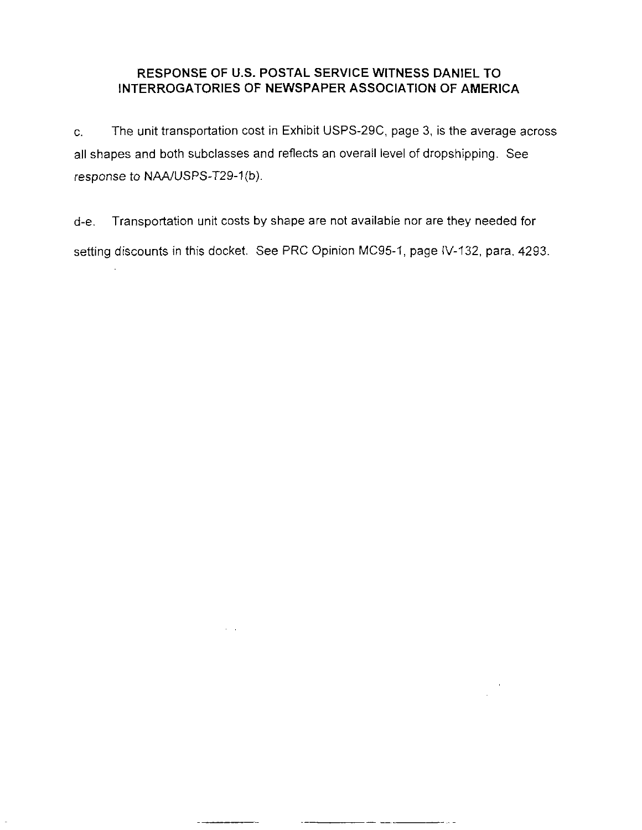C. The unit transportation cost in Exhibit USPS-29C, page 3, is the average across all shapes and both subclasses and reflects an overall level of dropshipping. See response to NAA/USPS-T29-1(b).

d-e. Transportation unit costs by shape are not available nor are they needed for setting discounts in this docket. See PRC Opinion MC95-1, page IV-132, para. 4293.

.-

— — — — — —

 $\alpha = 1$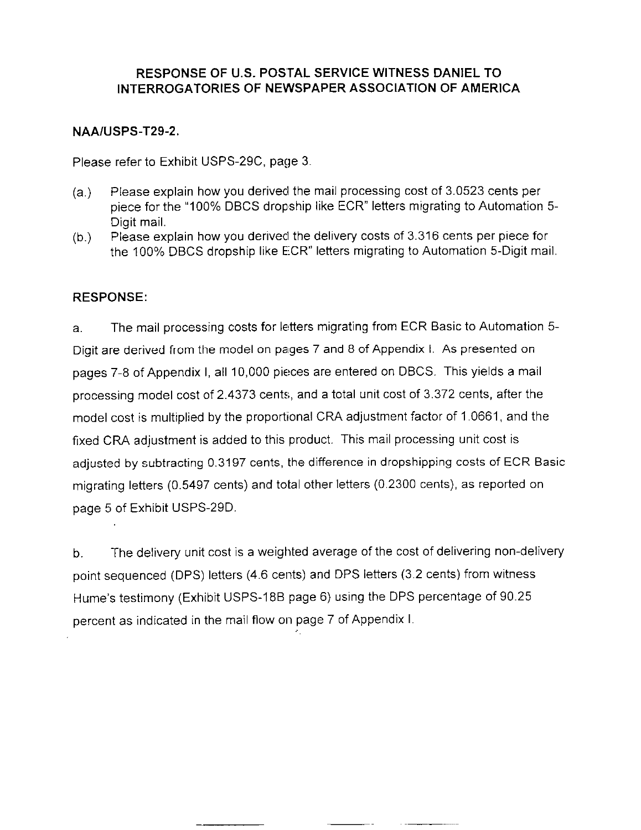#### NAAIUSPS-T29-2.

Please refer to Exhibit USPS-29C, page 3.

- (a,) Please explain how you derived the mail processing cost of 3.0523 cents per piece for the "100% DBCS dropship like ECR" letters migrating to Automation 5- Digit mail.
- (b.) Please explain how you derivecl the delivery costs of 3.316 cents per piece for the 100% DBCS dropship like ECR" letters migrating to Automation 5-Digit mail.

## RESPONSE:

a. The mail processing costs for letters migrating from ECR Basic to Automation 5- Digit are derived from the model on pages 7 and 8 of Appendix I. As presented on pages 7-8 of Appendix I, all 10,000 pieces are entered on DBCS. This yields a mail processing model cost of 2.4373 cents, and a total unit cost of 3.372 cents, after the model cost is multiplied by the proportional CRA adjustment factor of 1.0661, and the fixed CRA adjustment is added to this product. This mail processing unit cost is adjusted by subtracting 0.3197 cents, the difference in dropshipping costs of ECR Basic migrating letters (0.5497 cents) and total other letters (0.2300 cents), as reported on page 5 of Exhibit USPS-29D.

b. The delivery unit cost is a weighted average of the cost of delivering non-delivery point sequenced (DPS) letters (4.6 cents) and DPS letters (3.2 cents) from witness Hume's testimony (Exhibit USPS-188 page 6) using the DPS percentage of 90.25 percent as indicated in the mail flow on page 7 of Appendix I.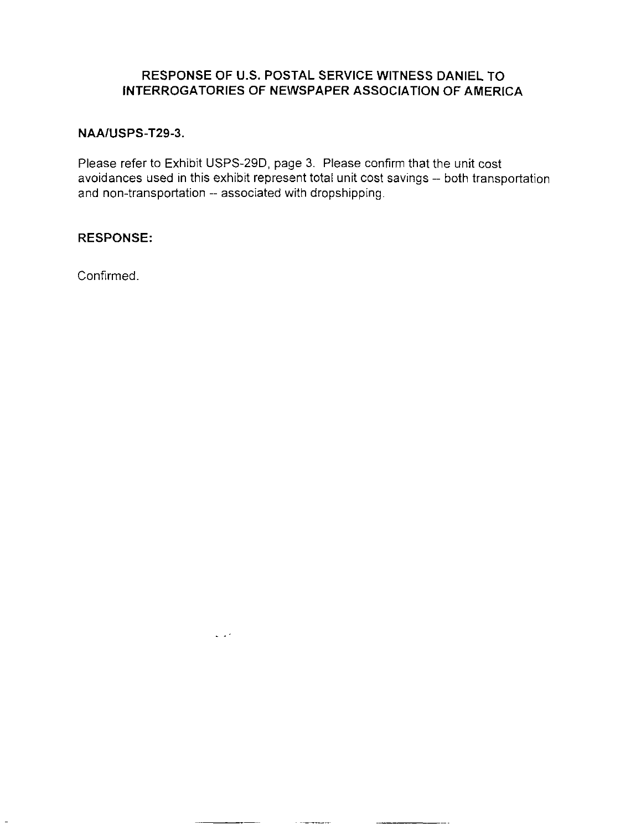#### NAA/USPS-T29-3.

Please refer to Exhibit USPS-29D, page 3. Please confirm that the unit cost avoidances used in this exhibit represent total unit cost savings -- both transportation and non-transportation -- associated with dropshipping.

 $\sim 10^4$ 

#### RESPONSE:

Confirmed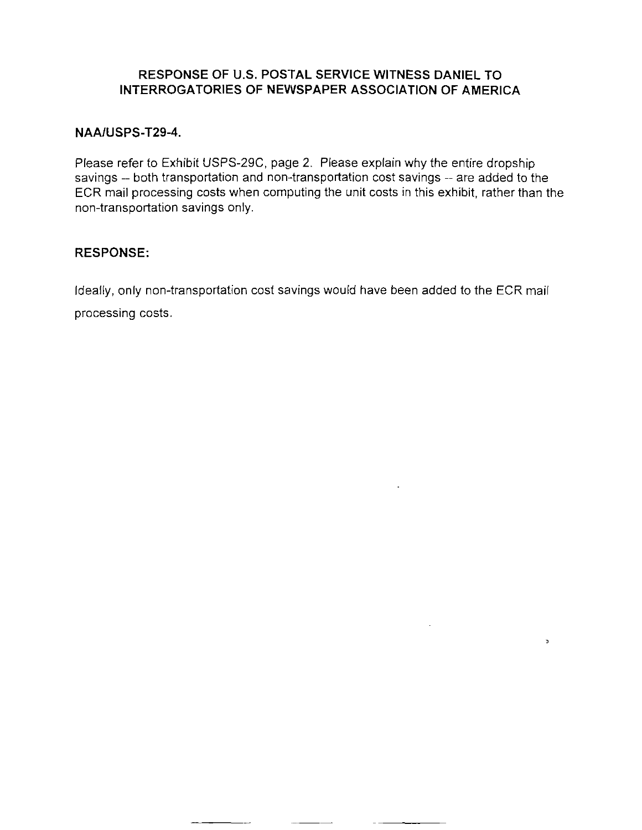### NAAIUSPS-T29-4.

Please refer to Exhibit USPS-29C, page 2. Please explain why the entire dropship savings -- both transportation and non-transportation cost savings -- are added to the ECR mail processing costs when computing the unit costs in this exhibit, rather than the non-transportation savings only.

### RESPONSE:

Ideally, only non-transportation cost savings would have been added to the ECR mail processing costs.

 $\bar{z}$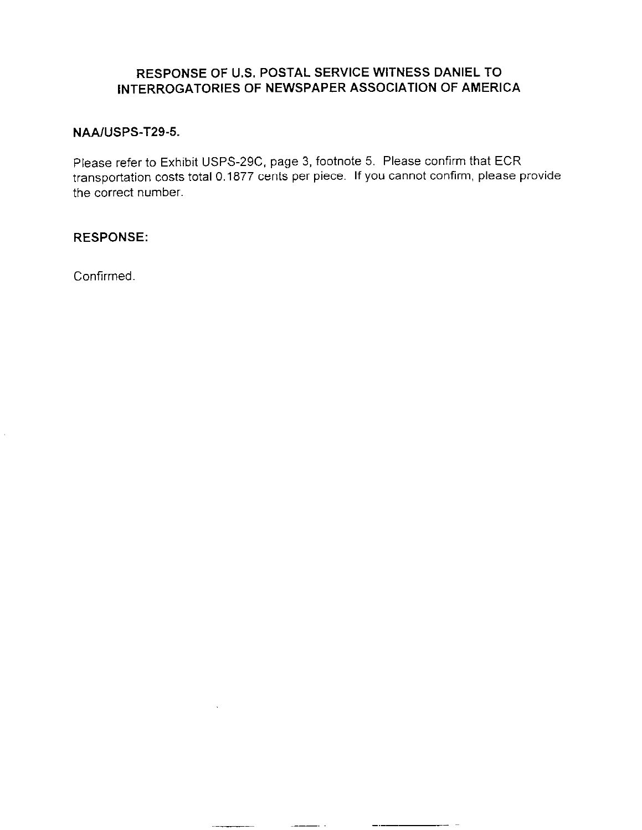## NAAIUSPS-T29-5.

Please refer to Exhibit USPS-29C, page 3, footnote 5. Please confirm that ECR transportation costs total 0.1877 cents per piece. If you cannot confirm, please provide the correct number.

# RESPONSE:

Confirmed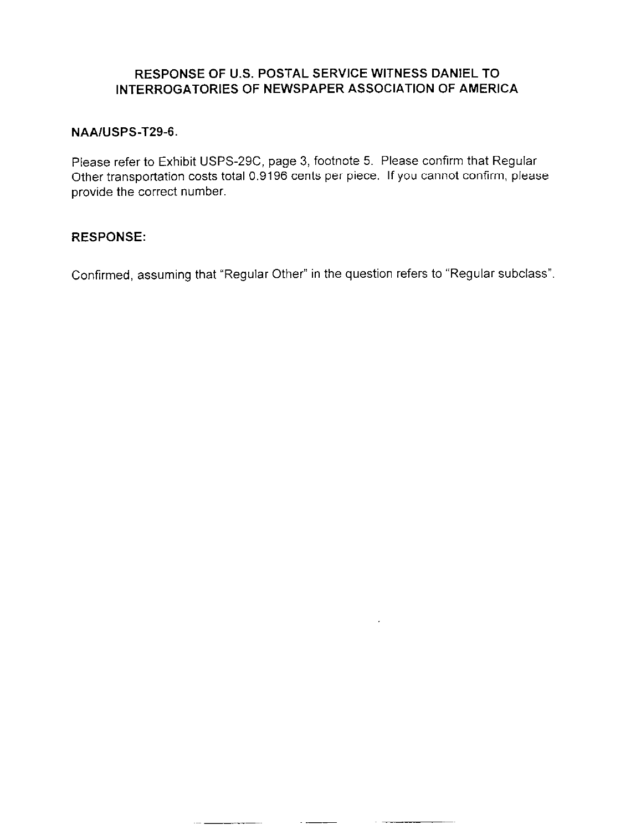#### NAAIUSPS-T29-6.

Please refer to Exhibit USPS-29C, page 3, footnote 5. Please confirm that Regular Other transportation costs total 0.9196 cents per piece. If you cannot confirm, please provide the correct number.

#### RESPONSE:

Confirmed, assuming that "Regular Other" in the question refers to "Regular subclass"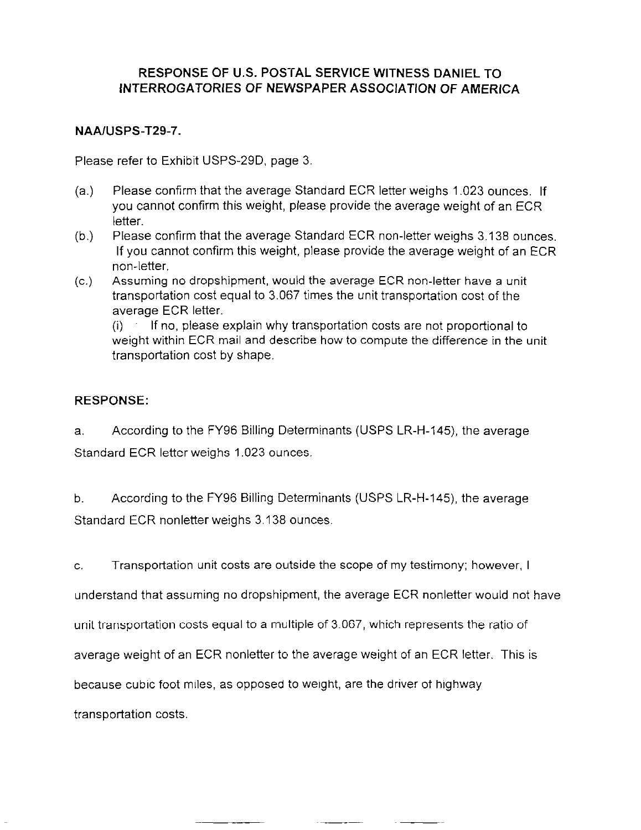#### NAAIUSPS-T29-7.

Please refer to Exhibit USPS-290, page 3

- (a.) Please confirm that the average Standard ECR letter weighs 1.023 ounces. If you cannot confirm this weight, please provide the average weight of an ECR letter.
- (b.) Please confirm that the average Standard ECR non-letter weighs 3.138 ounces. If you cannot confirm this weight, please provide the average weight of an ECR non-letter.
- (c.) Assuming no dropshipment, would the average ECR non-letter have a unit transportation cost equal to 3.067 times the unit transportation cost of the average ECR letter.

 $(i)$  If no, please explain why transportation costs are not proportional to weight within ECR mail and describe how to compute the difference in the unit transportation cost by shape.

#### RESPONSE:

a. According to the FY96 Billing Determinants (USPS LR-H-145), the average Standard ECR letter weighs 1.023 ounces.

b. According to the FY96 Billing Determinants (USPS LR-H-145), the average Standard ECR nonletter weighs 3.138 ounces.

C. Transportation unit costs are outside the scope of my testimony; however, I

understand that assuming no dropshipment, the average ECR nonletter would not have

unit transportation costs equal to a multiple of 3.067, which represents the ratio of

average weight of an ECR nonletter to the average weight of an ECR letter. This is

because cubic foot miles, as opposed to weight, are the driver of highway

transportation costs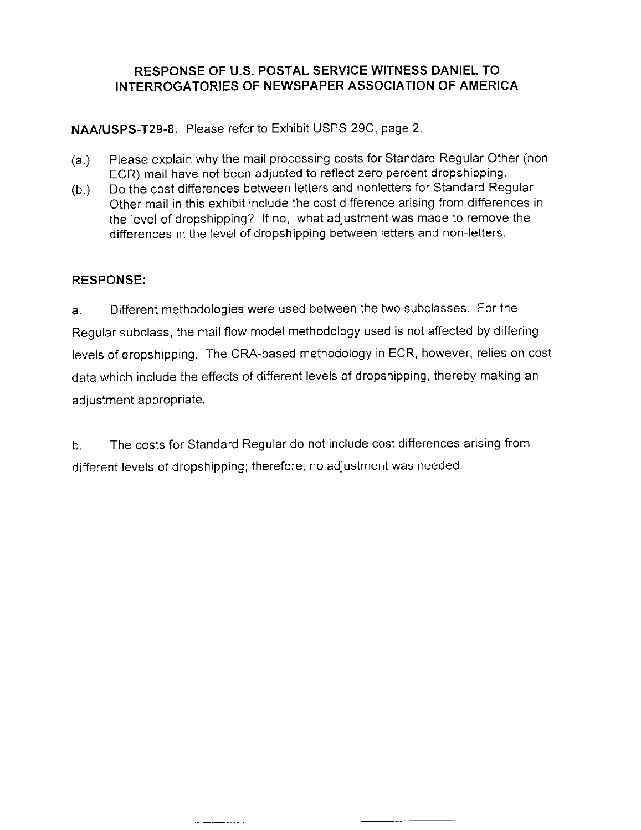NAA/USPS-T29-8. Please refer to Exhibit USPS-29C, page 2.

- (a.) Please explain why the mail processing costs for Standard Regular Other (non-ECR) mail have not been adjusied to reflect zero percent dropshipping.
- (b.) Do the cost differences between letters and nonletters for Standard Regular Other mail in this exhibit include the cost difference arising from differences in the level of dropshipping? If no, what adjustment was made to remove the differences in the level of dropshipping between letters and non-letters.

# RESPONSE:

a. Different methodologies were used between the two subclasses. For the Regular subclass, the mail flow model methodology used is not affected by differing levels of dropshipping. The CRA-based methodology in ECR, however, relies on cost data which include the effects of different levels of dropshipping, thereby making an adjustment appropriate.

b. The costs for Standard Regular do not include cost differences arising from different levels of dropshipping; therefore, no adjustment was needed.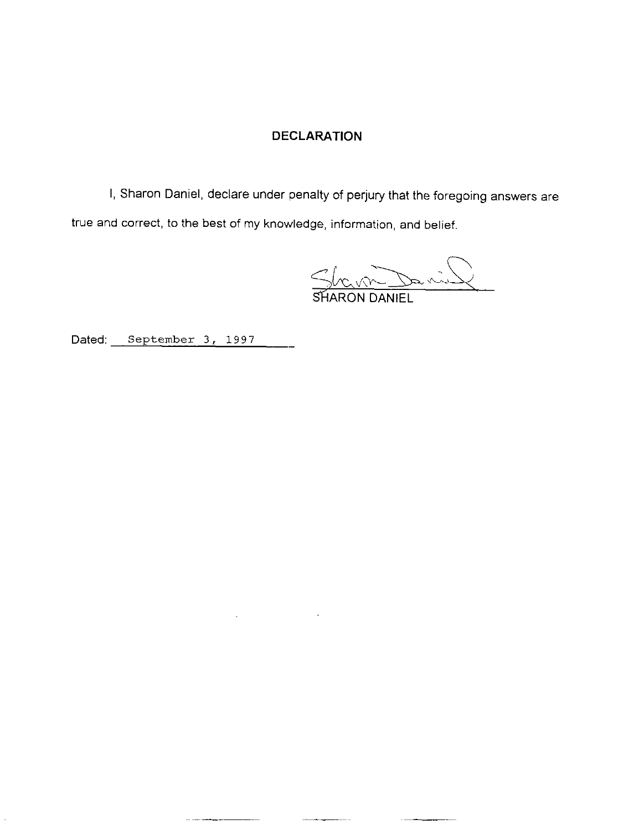## DECLARATION

I, Sharon Daniel, declare under penalty of perjury that the foregoing answers are true and correct, to the best of my knowledge, information, and belief.

 $\mathcal{L}^{\text{max}}(\mathcal{L}^{\text{max}})$  and  $\mathcal{L}^{\text{max}}(\mathcal{L}^{\text{max}})$ 

 $S_{k_{\alpha}N_{\alpha}}$ 

Dated: September 3, 1997